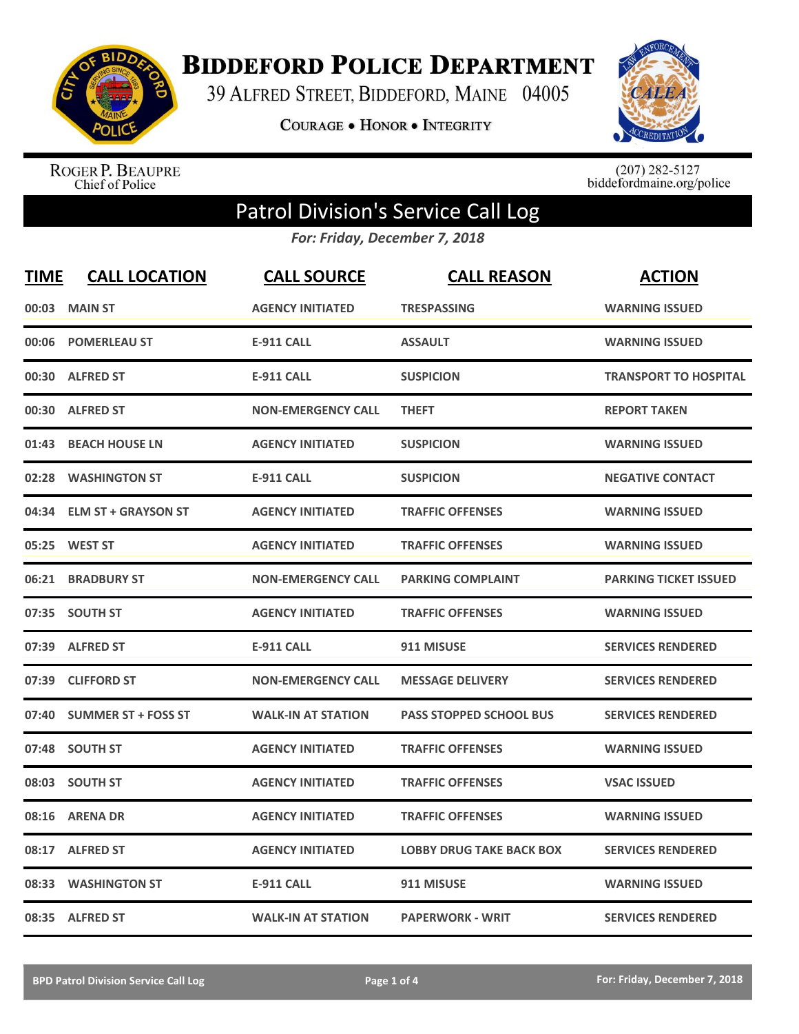

**BIDDEFORD POLICE DEPARTMENT** 

39 ALFRED STREET, BIDDEFORD, MAINE 04005

**COURAGE . HONOR . INTEGRITY** 



ROGER P. BEAUPRE<br>Chief of Police

 $(207)$  282-5127<br>biddefordmaine.org/police

## Patrol Division's Service Call Log

*For: Friday, December 7, 2018*

| <b>TIME</b> | <b>CALL LOCATION</b>       | <b>CALL SOURCE</b>        | <b>CALL REASON</b>              | <b>ACTION</b>                |
|-------------|----------------------------|---------------------------|---------------------------------|------------------------------|
| 00:03       | <b>MAIN ST</b>             | <b>AGENCY INITIATED</b>   | <b>TRESPASSING</b>              | <b>WARNING ISSUED</b>        |
|             | 00:06 POMERLEAU ST         | <b>E-911 CALL</b>         | <b>ASSAULT</b>                  | <b>WARNING ISSUED</b>        |
|             | 00:30 ALFRED ST            | <b>E-911 CALL</b>         | <b>SUSPICION</b>                | <b>TRANSPORT TO HOSPITAL</b> |
| 00:30       | <b>ALFRED ST</b>           | <b>NON-EMERGENCY CALL</b> | <b>THEFT</b>                    | <b>REPORT TAKEN</b>          |
|             | 01:43 BEACH HOUSE LN       | <b>AGENCY INITIATED</b>   | <b>SUSPICION</b>                | <b>WARNING ISSUED</b>        |
|             | 02:28 WASHINGTON ST        | <b>E-911 CALL</b>         | <b>SUSPICION</b>                | <b>NEGATIVE CONTACT</b>      |
| 04:34       | <b>ELM ST + GRAYSON ST</b> | <b>AGENCY INITIATED</b>   | <b>TRAFFIC OFFENSES</b>         | <b>WARNING ISSUED</b>        |
|             | 05:25 WEST ST              | <b>AGENCY INITIATED</b>   | <b>TRAFFIC OFFENSES</b>         | <b>WARNING ISSUED</b>        |
|             | 06:21 BRADBURY ST          | <b>NON-EMERGENCY CALL</b> | <b>PARKING COMPLAINT</b>        | <b>PARKING TICKET ISSUED</b> |
|             | 07:35 SOUTH ST             | <b>AGENCY INITIATED</b>   | <b>TRAFFIC OFFENSES</b>         | <b>WARNING ISSUED</b>        |
|             | 07:39 ALFRED ST            | <b>E-911 CALL</b>         | 911 MISUSE                      | <b>SERVICES RENDERED</b>     |
|             | 07:39 CLIFFORD ST          | <b>NON-EMERGENCY CALL</b> | <b>MESSAGE DELIVERY</b>         | <b>SERVICES RENDERED</b>     |
|             | 07:40 SUMMER ST + FOSS ST  | <b>WALK-IN AT STATION</b> | <b>PASS STOPPED SCHOOL BUS</b>  | <b>SERVICES RENDERED</b>     |
|             | 07:48 SOUTH ST             | <b>AGENCY INITIATED</b>   | <b>TRAFFIC OFFENSES</b>         | <b>WARNING ISSUED</b>        |
|             | 08:03 SOUTH ST             | <b>AGENCY INITIATED</b>   | <b>TRAFFIC OFFENSES</b>         | <b>VSAC ISSUED</b>           |
|             | 08:16 ARENA DR             | <b>AGENCY INITIATED</b>   | <b>TRAFFIC OFFENSES</b>         | <b>WARNING ISSUED</b>        |
|             | 08:17 ALFRED ST            | <b>AGENCY INITIATED</b>   | <b>LOBBY DRUG TAKE BACK BOX</b> | <b>SERVICES RENDERED</b>     |
|             | 08:33 WASHINGTON ST        | <b>E-911 CALL</b>         | 911 MISUSE                      | <b>WARNING ISSUED</b>        |
|             | 08:35 ALFRED ST            | <b>WALK-IN AT STATION</b> | <b>PAPERWORK - WRIT</b>         | <b>SERVICES RENDERED</b>     |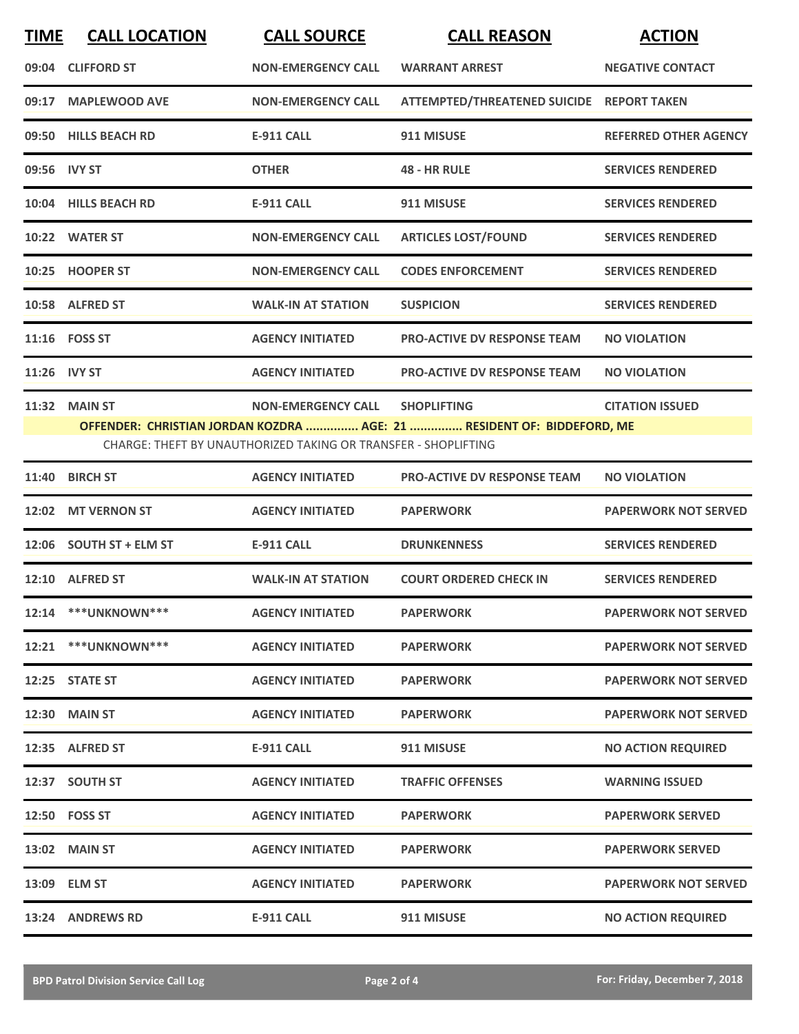| <b>TIME</b> | <b>CALL LOCATION</b>    | <b>CALL SOURCE</b>                                             | <b>CALL REASON</b>                                                                           | <b>ACTION</b>                |
|-------------|-------------------------|----------------------------------------------------------------|----------------------------------------------------------------------------------------------|------------------------------|
|             | 09:04 CLIFFORD ST       | <b>NON-EMERGENCY CALL</b>                                      | <b>WARRANT ARREST</b>                                                                        | <b>NEGATIVE CONTACT</b>      |
| 09:17       | <b>MAPLEWOOD AVE</b>    | <b>NON-EMERGENCY CALL</b>                                      | ATTEMPTED/THREATENED SUICIDE REPORT TAKEN                                                    |                              |
|             | 09:50 HILLS BEACH RD    | E-911 CALL                                                     | 911 MISUSE                                                                                   | <b>REFERRED OTHER AGENCY</b> |
|             | 09:56 IVY ST            | <b>OTHER</b>                                                   | <b>48 - HR RULE</b>                                                                          | <b>SERVICES RENDERED</b>     |
|             | 10:04 HILLS BEACH RD    | <b>E-911 CALL</b>                                              | 911 MISUSE                                                                                   | <b>SERVICES RENDERED</b>     |
|             | 10:22 WATER ST          | <b>NON-EMERGENCY CALL</b>                                      | <b>ARTICLES LOST/FOUND</b>                                                                   | <b>SERVICES RENDERED</b>     |
|             | 10:25 HOOPER ST         | <b>NON-EMERGENCY CALL</b>                                      | <b>CODES ENFORCEMENT</b>                                                                     | <b>SERVICES RENDERED</b>     |
|             | 10:58 ALFRED ST         | <b>WALK-IN AT STATION</b>                                      | <b>SUSPICION</b>                                                                             | <b>SERVICES RENDERED</b>     |
|             | 11:16    FOSS ST        | <b>AGENCY INITIATED</b>                                        | <b>PRO-ACTIVE DV RESPONSE TEAM</b>                                                           | <b>NO VIOLATION</b>          |
|             | 11:26 IVY ST            | <b>AGENCY INITIATED</b>                                        | <b>PRO-ACTIVE DV RESPONSE TEAM</b>                                                           | <b>NO VIOLATION</b>          |
|             | <b>11:32 MAIN ST</b>    | <b>NON-EMERGENCY CALL</b>                                      | <b>SHOPLIFTING</b><br>OFFENDER: CHRISTIAN JORDAN KOZDRA  AGE: 21  RESIDENT OF: BIDDEFORD, ME | <b>CITATION ISSUED</b>       |
|             |                         | CHARGE: THEFT BY UNAUTHORIZED TAKING OR TRANSFER - SHOPLIFTING |                                                                                              |                              |
| 11:40       | <b>BIRCH ST</b>         | <b>AGENCY INITIATED</b>                                        | <b>PRO-ACTIVE DV RESPONSE TEAM</b>                                                           | <b>NO VIOLATION</b>          |
|             | 12:02 MT VERNON ST      | <b>AGENCY INITIATED</b>                                        | <b>PAPERWORK</b>                                                                             | <b>PAPERWORK NOT SERVED</b>  |
|             | 12:06 SOUTH ST + ELM ST | <b>E-911 CALL</b>                                              | <b>DRUNKENNESS</b>                                                                           | <b>SERVICES RENDERED</b>     |
|             | 12:10 ALFRED ST         | <b>WALK-IN AT STATION</b>                                      | <b>COURT ORDERED CHECK IN</b>                                                                | <b>SERVICES RENDERED</b>     |
|             | 12:14 *** UNKNOWN***    | <b>AGENCY INITIATED</b>                                        | <b>PAPERWORK</b>                                                                             | <b>PAPERWORK NOT SERVED</b>  |
|             | 12:21 *** UNKNOWN***    | <b>AGENCY INITIATED</b>                                        | <b>PAPERWORK</b>                                                                             | <b>PAPERWORK NOT SERVED</b>  |
|             | 12:25 STATE ST          | <b>AGENCY INITIATED</b>                                        | <b>PAPERWORK</b>                                                                             | <b>PAPERWORK NOT SERVED</b>  |
|             | <b>12:30 MAIN ST</b>    | <b>AGENCY INITIATED</b>                                        | <b>PAPERWORK</b>                                                                             | <b>PAPERWORK NOT SERVED</b>  |
|             | 12:35 ALFRED ST         | <b>E-911 CALL</b>                                              | 911 MISUSE                                                                                   | <b>NO ACTION REQUIRED</b>    |
|             | 12:37 SOUTH ST          | <b>AGENCY INITIATED</b>                                        | <b>TRAFFIC OFFENSES</b>                                                                      | <b>WARNING ISSUED</b>        |
|             | 12:50 FOSS ST           | <b>AGENCY INITIATED</b>                                        | <b>PAPERWORK</b>                                                                             | <b>PAPERWORK SERVED</b>      |
| 13:02       | <b>MAIN ST</b>          | <b>AGENCY INITIATED</b>                                        | <b>PAPERWORK</b>                                                                             | <b>PAPERWORK SERVED</b>      |
|             | 13:09 ELM ST            | <b>AGENCY INITIATED</b>                                        | <b>PAPERWORK</b>                                                                             | <b>PAPERWORK NOT SERVED</b>  |
|             | 13:24 ANDREWS RD        | <b>E-911 CALL</b>                                              | 911 MISUSE                                                                                   | <b>NO ACTION REQUIRED</b>    |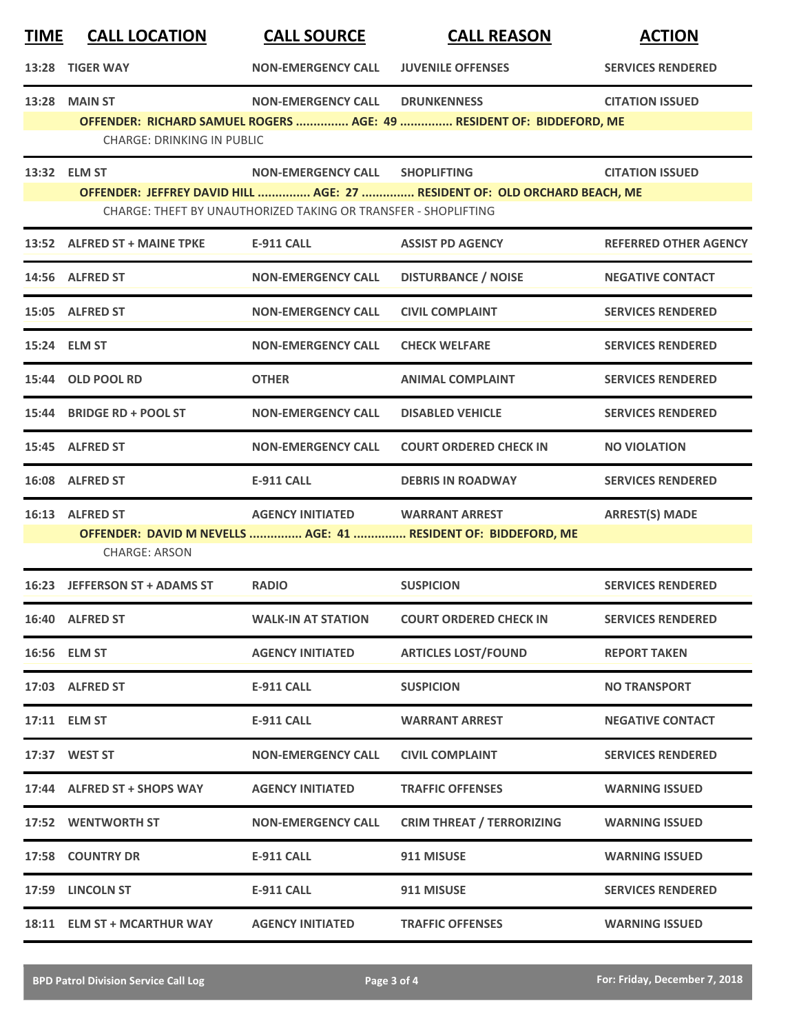| <u>TIME</u> | <b>CALL LOCATION</b>                               | <b>CALL SOURCE</b>                                                                          | <b>CALL REASON</b>                                                                              | <b>ACTION</b>                |
|-------------|----------------------------------------------------|---------------------------------------------------------------------------------------------|-------------------------------------------------------------------------------------------------|------------------------------|
|             | 13:28 TIGER WAY                                    | <b>NON-EMERGENCY CALL</b>                                                                   | <b>JUVENILE OFFENSES</b>                                                                        | <b>SERVICES RENDERED</b>     |
|             | 13:28 MAIN ST<br><b>CHARGE: DRINKING IN PUBLIC</b> | <b>NON-EMERGENCY CALL</b>                                                                   | <b>DRUNKENNESS</b><br>OFFENDER: RICHARD SAMUEL ROGERS  AGE: 49  RESIDENT OF: BIDDEFORD, ME      | <b>CITATION ISSUED</b>       |
|             | 13:32 ELM ST                                       | <b>NON-EMERGENCY CALL</b><br>CHARGE: THEFT BY UNAUTHORIZED TAKING OR TRANSFER - SHOPLIFTING | <b>SHOPLIFTING</b><br>OFFENDER: JEFFREY DAVID HILL  AGE: 27  RESIDENT OF: OLD ORCHARD BEACH, ME | <b>CITATION ISSUED</b>       |
|             | 13:52 ALFRED ST + MAINE TPKE                       | <b>E-911 CALL</b>                                                                           | <b>ASSIST PD AGENCY</b>                                                                         | <b>REFERRED OTHER AGENCY</b> |
|             | 14:56 ALFRED ST                                    | <b>NON-EMERGENCY CALL</b>                                                                   | <b>DISTURBANCE / NOISE</b>                                                                      | <b>NEGATIVE CONTACT</b>      |
|             | 15:05 ALFRED ST                                    | <b>NON-EMERGENCY CALL</b>                                                                   | <b>CIVIL COMPLAINT</b>                                                                          | <b>SERVICES RENDERED</b>     |
|             | 15:24 ELM ST                                       | <b>NON-EMERGENCY CALL</b>                                                                   | <b>CHECK WELFARE</b>                                                                            | <b>SERVICES RENDERED</b>     |
|             | 15:44 OLD POOL RD                                  | <b>OTHER</b>                                                                                | <b>ANIMAL COMPLAINT</b>                                                                         | <b>SERVICES RENDERED</b>     |
|             | 15:44 BRIDGE RD + POOL ST                          | <b>NON-EMERGENCY CALL</b>                                                                   | <b>DISABLED VEHICLE</b>                                                                         | <b>SERVICES RENDERED</b>     |
|             | 15:45 ALFRED ST                                    | <b>NON-EMERGENCY CALL</b>                                                                   | <b>COURT ORDERED CHECK IN</b>                                                                   | <b>NO VIOLATION</b>          |
|             | 16:08 ALFRED ST                                    | <b>E-911 CALL</b>                                                                           | <b>DEBRIS IN ROADWAY</b>                                                                        | <b>SERVICES RENDERED</b>     |
|             | 16:13 ALFRED ST<br><b>CHARGE: ARSON</b>            | <b>AGENCY INITIATED</b>                                                                     | <b>WARRANT ARREST</b><br>OFFENDER: DAVID M NEVELLS  AGE: 41  RESIDENT OF: BIDDEFORD, ME         | <b>ARREST(S) MADE</b>        |
|             | 16:23 JEFFERSON ST + ADAMS ST                      | <b>RADIO</b>                                                                                | <b>SUSPICION</b>                                                                                | <b>SERVICES RENDERED</b>     |
|             | 16:40 ALFRED ST                                    | WALK-IN AT STATION                                                                          | <b>COURT ORDERED CHECK IN</b>                                                                   | <b>SERVICES RENDERED</b>     |
|             | 16:56 ELM ST                                       | <b>AGENCY INITIATED</b>                                                                     | <b>ARTICLES LOST/FOUND</b>                                                                      | <b>REPORT TAKEN</b>          |
|             | 17:03 ALFRED ST                                    | E-911 CALL                                                                                  | <b>SUSPICION</b>                                                                                | <b>NO TRANSPORT</b>          |
|             | 17:11 ELM ST                                       | E-911 CALL                                                                                  | <b>WARRANT ARREST</b>                                                                           | <b>NEGATIVE CONTACT</b>      |
|             | 17:37 WEST ST                                      | <b>NON-EMERGENCY CALL</b>                                                                   | <b>CIVIL COMPLAINT</b>                                                                          | <b>SERVICES RENDERED</b>     |
|             | 17:44 ALFRED ST + SHOPS WAY                        | <b>AGENCY INITIATED</b>                                                                     | <b>TRAFFIC OFFENSES</b>                                                                         | <b>WARNING ISSUED</b>        |
|             | 17:52 WENTWORTH ST                                 | <b>NON-EMERGENCY CALL</b>                                                                   | <b>CRIM THREAT / TERRORIZING</b>                                                                | <b>WARNING ISSUED</b>        |
|             | <b>17:58 COUNTRY DR</b>                            | E-911 CALL                                                                                  | 911 MISUSE                                                                                      | <b>WARNING ISSUED</b>        |
|             | 17:59 LINCOLN ST                                   | <b>E-911 CALL</b>                                                                           | 911 MISUSE                                                                                      | <b>SERVICES RENDERED</b>     |
|             | 18:11 ELM ST + MCARTHUR WAY                        | <b>AGENCY INITIATED</b>                                                                     | <b>TRAFFIC OFFENSES</b>                                                                         | <b>WARNING ISSUED</b>        |
|             |                                                    |                                                                                             |                                                                                                 |                              |